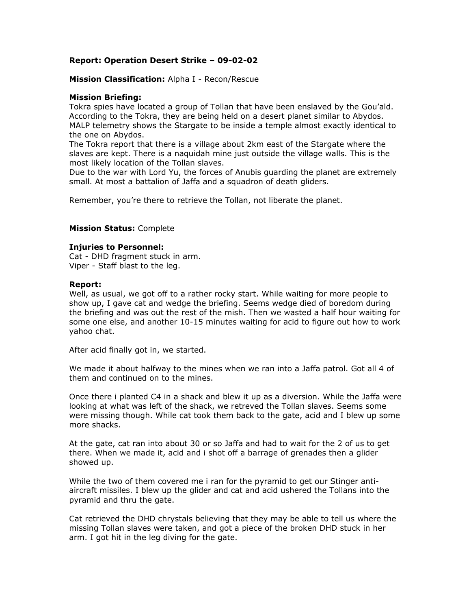# **Report: Operation Desert Strike – 09-02-02**

### **Mission Classification:** Alpha I - Recon/Rescue

## **Mission Briefing:**

Tokra spies have located a group of Tollan that have been enslaved by the Gou'ald. According to the Tokra, they are being held on a desert planet similar to Abydos. MALP telemetry shows the Stargate to be inside a temple almost exactly identical to the one on Abydos.

The Tokra report that there is a village about 2km east of the Stargate where the slaves are kept. There is a naquidah mine just outside the village walls. This is the most likely location of the Tollan slaves.

Due to the war with Lord Yu, the forces of Anubis guarding the planet are extremely small. At most a battalion of Jaffa and a squadron of death gliders.

Remember, you're there to retrieve the Tollan, not liberate the planet.

## **Mission Status:** Complete

### **Injuries to Personnel:**

Cat - DHD fragment stuck in arm. Viper - Staff blast to the leg.

### **Report:**

Well, as usual, we got off to a rather rocky start. While waiting for more people to show up, I gave cat and wedge the briefing. Seems wedge died of boredom during the briefing and was out the rest of the mish. Then we wasted a half hour waiting for some one else, and another 10-15 minutes waiting for acid to figure out how to work yahoo chat.

After acid finally got in, we started.

We made it about halfway to the mines when we ran into a Jaffa patrol. Got all 4 of them and continued on to the mines.

Once there i planted C4 in a shack and blew it up as a diversion. While the Jaffa were looking at what was left of the shack, we retreved the Tollan slaves. Seems some were missing though. While cat took them back to the gate, acid and I blew up some more shacks.

At the gate, cat ran into about 30 or so Jaffa and had to wait for the 2 of us to get there. When we made it, acid and i shot off a barrage of grenades then a glider showed up.

While the two of them covered me i ran for the pyramid to get our Stinger antiaircraft missiles. I blew up the glider and cat and acid ushered the Tollans into the pyramid and thru the gate.

Cat retrieved the DHD chrystals believing that they may be able to tell us where the missing Tollan slaves were taken, and got a piece of the broken DHD stuck in her arm. I got hit in the leg diving for the gate.